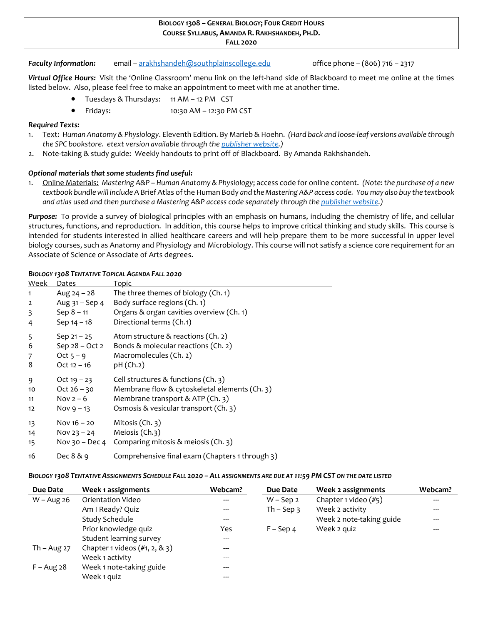#### **BIOLOGY 1308 – GENERAL BIOLOGY; FOUR CREDIT HOURS COURSE SYLLABUS, AMANDA R. RAKHSHANDEH, PH.D. <sup>F</sup>ALL <sup>2020</sup>**

#### *Faculty Information:* email – [arakhshandeh@southplainscollege.edu](mailto:arakhshandeh@southplainscollege.edu) office phone – (806) 716 – 2317

*Virtual Office Hours:* Visit the 'Online Classroom' menu link on the left-hand side of Blackboard to meet me online at the times listed below. Also, please feel free to make an appointment to meet with me at another time.

- Tuesdays & Thursdays: 11 AM 12 PM CST
- Fridays: 10:30 AM 12:30 PM CST

### *Required Texts:*

- 1. Text: *Human Anatomy & Physiology*. Eleventh Edition. By Marieb & Hoehn. *(Hard back and loose-leaf versions available through the SPC bookstore. etext version available through the [publisher website.\)](https://www.pearson.com/)*
- 2. Note-taking & study guide: Weekly handouts to print off of Blackboard.By Amanda Rakhshandeh.

### *Optional materials that some students find useful:*

1. Online Materials: *Mastering A&P – Human Anatomy & Physiology*; access code for online content. *(Note: the purchase of a new textbook bundle will include* A Brief Atlas of the Human Body *and the Mastering A&P access code. You may also buy the textbook and atlas used and then purchase a Mastering A&P access code separately through th[e publisher website.](https://www.pearson.com/))*

*Purpose:* To provide a survey of biological principles with an emphasis on humans, including the chemistry of life, and cellular structures, functions, and reproduction. In addition, this course helps to improve critical thinking and study skills. This course is intended for students interested in allied healthcare careers and will help prepare them to be more successful in upper level biology courses, such as Anatomy and Physiology and Microbiology. This course will not satisfy a science core requirement for an Associate of Science or Associate of Arts degrees.

### *BIOLOGY 1308 TENTATIVE TOPICAL AGENDA FALL 2020*

| Week           | Dates            | Topic                                           |
|----------------|------------------|-------------------------------------------------|
| 1              | Aug $24 - 28$    | The three themes of biology (Ch. 1)             |
| $\overline{2}$ | Aug $31 -$ Sep 4 | Body surface regions (Ch. 1)                    |
| 3              | $Sep 8 - 11$     | Organs & organ cavities overview (Ch. 1)        |
| 4              | Sep $14 - 18$    | Directional terms (Ch.1)                        |
| 5              | Sep $21 - 25$    | Atom structure & reactions (Ch. 2)              |
| 6              | Sep 28 - Oct 2   | Bonds & molecular reactions (Ch. 2)             |
| 7              | Oct $5 - 9$      | Macromolecules (Ch. 2)                          |
| 8              | $Oct 12 - 16$    | pH (Ch.2)                                       |
| 9              | Oct $19 - 23$    | Cell structures $&$ functions (Ch. 3)           |
| 10             | Oct $26 - 30$    | Membrane flow & cytoskeletal elements (Ch. 3)   |
| 11             | Nov $2-6$        | Membrane transport & ATP (Ch. 3)                |
| 12             | Nov $9 - 13$     | Osmosis & vesicular transport (Ch. 3)           |
| 13             | Nov $16 - 20$    | Mitosis (Ch. 3)                                 |
| 14             | Nov $23 - 24$    | Meiosis (Ch.3)                                  |
| 15             | Nov 30 – Dec 4   | Comparing mitosis & meiosis (Ch. 3)             |
| 16             | Dec $8 & 9$      | Comprehensive final exam (Chapters 1 through 3) |

#### BIOLOGY 1308 TENTATIVE ASSIGNMENTS SCHEDULE FALL 2020 - ALL ASSIGNMENTS ARE DUE AT 11:59 PM CST ON THE DATE LISTED

| Due Date      | Week 1 assignments                | Webcam? | Due Date       | Week 2 assignments       | Webcam? |
|---------------|-----------------------------------|---------|----------------|--------------------------|---------|
| $W - Aug 26$  | Orientation Video                 | $---$   | $W$ – Sep 2    | Chapter 1 video (#5)     |         |
|               | Am I Ready? Quiz                  | $---$   | Th $-$ Sep $3$ | Week 2 activity          |         |
|               | Study Schedule                    | $---$   |                | Week 2 note-taking guide |         |
|               | Prior knowledge quiz              | Yes     | $F -$ Sep 4    | Week 2 quiz              |         |
|               | Student learning survey           | $---$   |                |                          |         |
| Th $-$ Aug 27 | Chapter 1 videos $(\#1, 2, 8, 3)$ | $---$   |                |                          |         |
|               | Week 1 activity                   | ---     |                |                          |         |
| $F - Aug 28$  | Week 1 note-taking guide          | ---     |                |                          |         |
|               | Week 1 quiz                       | ---     |                |                          |         |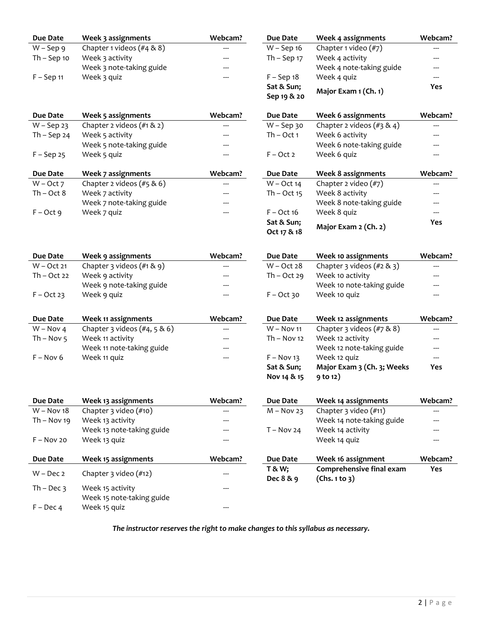| <b>Due Date</b> | Week 3 assignments               | Webcam? | <b>Due Date</b>   | Week 4 assignments             | Webcam?    |
|-----------------|----------------------------------|---------|-------------------|--------------------------------|------------|
| $W -$ Sep 9     | Chapter 1 videos (#4 & 8)        |         | W - Sep 16        | Chapter 1 video (#7)           |            |
| $Th - Sep 10$   | Week 3 activity                  |         | Th $-$ Sep $17$   | Week 4 activity                | ---        |
|                 | Week 3 note-taking guide         |         |                   | Week 4 note-taking guide       | ---        |
| $F -$ Sep 11    | Week 3 quiz                      |         | $F - Sep18$       | Week 4 quiz                    | ---        |
|                 |                                  |         | Sat & Sun;        |                                | <b>Yes</b> |
|                 |                                  |         | Sep 19 & 20       | Major Exam 1 (Ch. 1)           |            |
|                 |                                  |         |                   |                                |            |
| Due Date        | Week 5 assignments               | Webcam? | <b>Due Date</b>   | <b>Week 6 assignments</b>      | Webcam?    |
| $W -$ Sep 23    | Chapter 2 videos (#1 & 2)        | ---     | $W -$ Sep 30      | Chapter 2 videos $(\#3 \& 4)$  | ---        |
| Th $-$ Sep 24   | Week 5 activity                  |         | $Th - Oct 1$      | Week 6 activity                | ---        |
|                 | Week 5 note-taking guide         |         |                   | Week 6 note-taking guide       | ---        |
| $F -$ Sep 25    | Week 5 quiz                      |         | $F - Oct 2$       | Week 6 quiz                    | ---        |
| <b>Due Date</b> | Week 7 assignments               | Webcam? | <b>Due Date</b>   | <b>Week 8 assignments</b>      | Webcam?    |
| $W - Oct 7$     | Chapter 2 videos $(\#5 \& 6)$    | ---     | $W - Oct 14$      | Chapter 2 video (#7)           | ---        |
| $Th - Oct 8$    | Week 7 activity                  |         | $Th - Oct$ 15     | Week 8 activity                | ---        |
|                 | Week 7 note-taking guide         |         |                   | Week 8 note-taking guide       | ---        |
| $F - Oct 9$     | Week 7 quiz                      | ---     | $F - Oct 16$      | Week 8 quiz                    | ---        |
|                 |                                  |         | Sat & Sun;        |                                | Yes        |
|                 |                                  |         | Oct 17 & 18       | Major Exam 2 (Ch. 2)           |            |
|                 |                                  |         |                   |                                |            |
| <b>Due Date</b> | Week 9 assignments               | Webcam? | <b>Due Date</b>   | Week 10 assignments            | Webcam?    |
| $W - Oct 21$    | Chapter $3$ videos (#1 & 9)      | ---     | $W - Oct 28$      | Chapter $3$ videos (#2 & $3$ ) | ---        |
| $Th - Oct 22$   | Week 9 activity                  |         | $Th - Oct 29$     | Week 10 activity               |            |
|                 | Week 9 note-taking guide         |         |                   | Week 10 note-taking guide      |            |
| $F - Oct 23$    | Week 9 quiz                      |         | $F - Oct$ 30      | Week 10 quiz                   |            |
|                 |                                  |         |                   |                                |            |
| <b>Due Date</b> | Week 11 assignments              | Webcam? | Due Date          | Week 12 assignments            | Webcam?    |
| $W - Nov 4$     | Chapter 3 videos $(\#4, 5 \& 6)$ |         | $W - Nov 11$      | Chapter $3$ videos (#7 & 8)    | ---        |
| Th $-$ Nov 5    | Week 11 activity                 |         | $Th - Nov 12$     | Week 12 activity               | ---        |
|                 | Week 11 note-taking guide        |         |                   | Week 12 note-taking guide      | ---        |
| $F - Nov 6$     | Week 11 quiz                     | ---     | $F - Nov 13$      | Week 12 quiz                   |            |
|                 |                                  |         | Sat & Sun;        | Major Exam 3 (Ch. 3; Weeks     | <b>Yes</b> |
|                 |                                  |         | Nov 14 & 15       | $9$ to 12)                     |            |
|                 |                                  |         |                   |                                |            |
| <b>Due Date</b> | Week 13 assignments              | Webcam? | Due Date          | Week 14 assignments            | Webcam?    |
| $W - Nov 18$    | Chapter 3 video (#10)            |         | $M - Nov 23$      | Chapter 3 video (#11)          |            |
| Th $-$ Nov 19   | Week 13 activity                 |         |                   | Week 14 note-taking guide      |            |
|                 | Week 13 note-taking guide        |         | $T - Nov 24$      | Week 14 activity               |            |
| $F - Nov 20$    | Week 13 quiz                     |         |                   | Week 14 quiz                   | $---$      |
|                 |                                  |         |                   |                                |            |
| Due Date        | Week 15 assignments              | Webcam? | Due Date          | Week 16 assignment             | Webcam?    |
| $W - Dec 2$     | Chapter $3$ video $(\#12)$       |         | <b>T &amp; W;</b> | Comprehensive final exam       | Yes        |
|                 |                                  |         | Dec 8 & 9         | (Chs. 1 to 3)                  |            |
| Th – Dec $3$    | Week 15 activity                 |         |                   |                                |            |
|                 | Week 15 note-taking guide        |         |                   |                                |            |
| $F - Dec 4$     | Week 15 quiz                     |         |                   |                                |            |

*The instructor reserves the right to make changes to this syllabus as necessary.*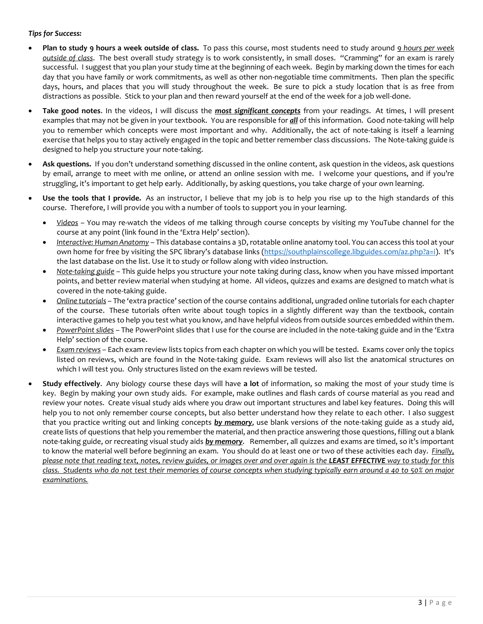# *Tips for Success:*

- **Plan to study 9 hours a week outside of class.** To pass this course, most students need to study around *9 hours per week outside of class*. The best overall study strategy is to work consistently, in small doses. "Cramming" for an exam is rarely successful. I suggest that you plan your study time at the beginning of each week. Begin by marking down the times for each day that you have family or work commitments, as well as other non-negotiable time commitments. Then plan the specific days, hours, and places that you will study throughout the week. Be sure to pick a study location that is as free from distractions as possible. Stick to your plan and then reward yourself at the end of the week for a job well-done.
- **Take good notes**. In the videos, I will discuss the *most significant concepts* from your readings. At times, I will present examples that may not be given in your textbook. You are responsible for *all* of this information. Good note-taking will help you to remember which concepts were most important and why. Additionally, the act of note-taking is itself a learning exercise that helps you to stay actively engaged in the topic and better remember class discussions. The Note-taking guide is designed to help you structure your note-taking.
- **Ask questions.** If you don't understand something discussed in the online content, ask question in the videos, ask questions by email, arrange to meet with me online, or attend an online session with me. I welcome your questions, and if you're struggling, it's important to get help early. Additionally, by asking questions, you take charge of your own learning.
- **Use the tools that I provide.** As an instructor, I believe that my job is to help you rise up to the high standards of this course. Therefore, I will provide you with a number of tools to support you in your learning.
	- *Videos* You may re-watch the videos of me talking through course concepts by visiting my YouTube channel for the course at any point (link found in the 'Extra Help' section).
	- *Interactive: Human Anatomy* This database contains a 3D, rotatable online anatomy tool. You can access this tool at your own home for free by visiting the SPC library's database links [\(https://southplainscollege.libguides.com/az.php?a=i\)](https://southplainscollege.libguides.com/az.php?a=i). It's the last database on the list. Use it to study or follow along with video instruction.
	- *Note-taking guide* This guide helps you structure your note taking during class, know when you have missed important points, and better review material when studying at home. All videos, quizzes and exams are designed to match what is covered in the note-taking guide.
	- *Online tutorials* The 'extra practice' section of the course contains additional, ungraded online tutorials for each chapter of the course. These tutorials often write about tough topics in a slightly different way than the textbook, contain interactive games to help you test what you know, and have helpful videos from outside sources embedded within them.
	- *PowerPoint slides* The PowerPoint slides that I use for the course are included in the note-taking guide and in the 'Extra Help' section of the course.
	- *Exam reviews* Each exam review lists topics from each chapter on which you will be tested. Exams cover only the topics listed on reviews, which are found in the Note-taking guide. Exam reviews will also list the anatomical structures on which I will test you. Only structures listed on the exam reviews will be tested.
- **Study effectively**. Any biology course these days will have **a lot** of information, so making the most of your study time is key. Begin by making your own study aids. For example, make outlines and flash cards of course material as you read and review your notes. Create visual study aids where you draw out important structures and label key features. Doing this will help you to not only remember course concepts, but also better understand how they relate to each other. I also suggest that you practice writing out and linking concepts *by memory*, use blank versions of the note-taking guide as a study aid, create lists of questions that help you remember the material, and then practice answering those questions, filling out a blank note-taking guide, or recreating visual study aids *by memory*. Remember, all quizzes and exams are timed, so it's important to know the material well before beginning an exam. You should do at least one or two of these activities each day. *Finally, please note that reading text, notes, review guides, or images over and over again is the LEAST EFFECTIVE way to study for this class. Students who do not test their memories of course concepts when studying typically earn around a 40 to 50% on major examinations.*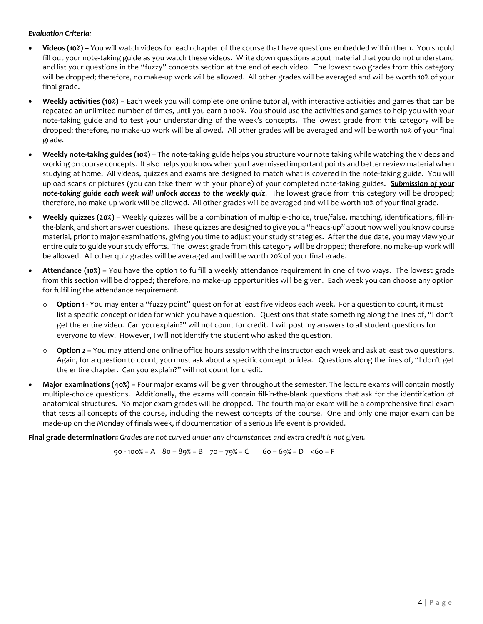# *Evaluation Criteria:*

- **Videos (10%) –** You will watch videos for each chapter of the course that have questions embedded within them. You should fill out your note-taking guide as you watch these videos. Write down questions about material that you do not understand and list your questions in the "fuzzy" concepts section at the end of each video. The lowest two grades from this category will be dropped; therefore, no make-up work will be allowed. All other grades will be averaged and will be worth 10% of your final grade.
- **Weekly activities (10%) –** Each week you will complete one online tutorial, with interactive activities and games that can be repeated an unlimited number of times, until you earn a 100%. You should use the activities and games to help you with your note-taking guide and to test your understanding of the week's concepts. The lowest grade from this category will be dropped; therefore, no make-up work will be allowed. All other grades will be averaged and will be worth 10% of your final grade.
- **Weekly note-taking guides (10%)** The note-taking guide helps you structure your note taking while watching the videos and working on course concepts. It also helps you know when you have missed important points and better review material when studying at home. All videos, quizzes and exams are designed to match what is covered in the note-taking guide. You will upload scans or pictures (you can take them with your phone) of your completed note-taking guides. *Submission of your note-taking guide each week will unlock access to the weekly quiz*. The lowest grade from this category will be dropped; therefore, no make-up work will be allowed. All other grades will be averaged and will be worth 10% of your final grade.
- **Weekly quizzes (20%)** Weekly quizzes will be a combination of multiple-choice, true/false, matching, identifications, fill-inthe-blank, and short answer questions. These quizzes are designed to give you a "heads-up" about how well you know course material, prior to major examinations, giving you time to adjust your study strategies. After the due date, you may view your entire quiz to guide your study efforts. The lowest grade from this category will be dropped; therefore, no make-up work will be allowed. All other quiz grades will be averaged and will be worth 20% of your final grade.
- **Attendance (10%) –** You have the option to fulfill a weekly attendance requirement in one of two ways. The lowest grade from this section will be dropped; therefore, no make-up opportunities will be given. Each week you can choose any option for fulfilling the attendance requirement.
	- o **Option 1** You may enter a "fuzzy point" question for at least five videos each week. For a question to count, it must list a specific concept or idea for which you have a question. Questions that state something along the lines of, "I don't get the entire video. Can you explain?" will not count for credit. I will post my answers to all student questions for everyone to view. However, I will not identify the student who asked the question.
	- o **Option 2 –** You may attend one online office hours session with the instructor each week and ask at least two questions. Again, for a question to count, you must ask about a specific concept or idea. Questions along the lines of, "I don't get the entire chapter. Can you explain?" will not count for credit.
- **Major examinations (40%) –** Four major exams will be given throughout the semester. The lecture exams will contain mostly multiple-choice questions. Additionally, the exams will contain fill-in-the-blank questions that ask for the identification of anatomical structures. No major exam grades will be dropped. The fourth major exam will be a comprehensive final exam that tests all concepts of the course, including the newest concepts of the course. One and only one major exam can be made-up on the Monday of finals week, if documentation of a serious life event is provided.

**Final grade determination:** *Grades are not curved under any circumstances and extra credit is not given.*

90 - 100% = A80 – 89% = B70 – 79% = C60 – 69% = D<60 = F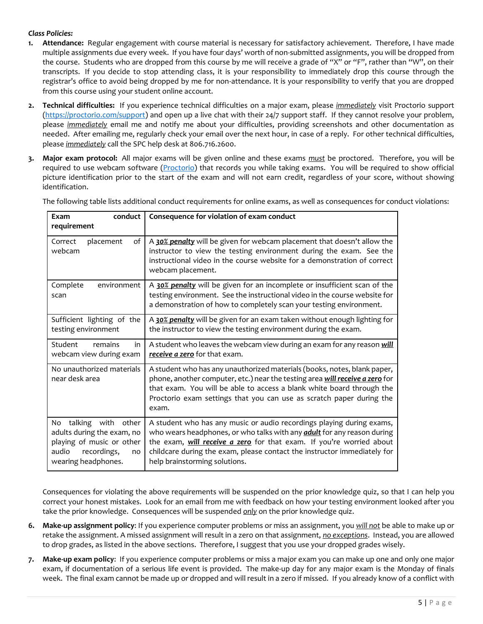# *Class Policies:*

- **1. Attendance:** Regular engagement with course material is necessary for satisfactory achievement. Therefore, I have made multiple assignments due every week. If you have four days' worth of non-submitted assignments, you will be dropped from the course. Students who are dropped from this course by me will receive a grade of "X" or "F", rather than "W", on their transcripts. If you decide to stop attending class, it is your responsibility to immediately drop this course through the registrar's office to avoid being dropped by me for non-attendance. It is your responsibility to verify that you are dropped from this course using your student online account.
- **2. Technical difficulties:** If you experience technical difficulties on a major exam, please *immediately* visit Proctorio support [\(https://proctorio.com/support\)](https://proctorio.com/support) and open up a live chat with their 24/7 support staff. If they cannot resolve your problem, please *immediately* email me and notify me about your difficulties, providing screenshots and other documentation as needed. After emailing me, regularly check your email over the next hour, in case of a reply. For other technical difficulties, please *immediately* call the SPC help desk at 806.716.2600.
- **3. Major exam protocol:** All major exams will be given online and these exams *must* be proctored. Therefore, you will be required to use webcam software [\(Proctorio\)](https://proctorio.com/support) that records you while taking exams. You will be required to show official picture identification prior to the start of the exam and will not earn credit, regardless of your score, without showing identification.

| conduct<br>Exam<br>requirement                                                                                                        | Consequence for violation of exam conduct                                                                                                                                                                                                                                                                                                    |  |  |
|---------------------------------------------------------------------------------------------------------------------------------------|----------------------------------------------------------------------------------------------------------------------------------------------------------------------------------------------------------------------------------------------------------------------------------------------------------------------------------------------|--|--|
| Correct<br>placement<br>of<br>webcam                                                                                                  | A 30% penalty will be given for webcam placement that doesn't allow the<br>instructor to view the testing environment during the exam. See the<br>instructional video in the course website for a demonstration of correct<br>webcam placement.                                                                                              |  |  |
| Complete<br>environment<br>scan                                                                                                       | A 30% penalty will be given for an incomplete or insufficient scan of the<br>testing environment. See the instructional video in the course website for<br>a demonstration of how to completely scan your testing environment.                                                                                                               |  |  |
| Sufficient lighting of the<br>testing environment                                                                                     | A 30% penalty will be given for an exam taken without enough lighting for<br>the instructor to view the testing environment during the exam.                                                                                                                                                                                                 |  |  |
| remains<br>Student<br>in<br>webcam view during exam                                                                                   | A student who leaves the webcam view during an exam for any reason will<br>receive a zero for that exam.                                                                                                                                                                                                                                     |  |  |
| No unauthorized materials<br>near desk area                                                                                           | A student who has any unauthorized materials (books, notes, blank paper,<br>phone, another computer, etc.) near the testing area will receive a zero for<br>that exam. You will be able to access a blank white board through the<br>Proctorio exam settings that you can use as scratch paper during the<br>exam.                           |  |  |
| No talking with other<br>adults during the exam, no<br>playing of music or other<br>audio<br>recordings,<br>no<br>wearing headphones. | A student who has any music or audio recordings playing during exams,<br>who wears headphones, or who talks with any <i>adult</i> for any reason during<br>the exam, will receive a zero for that exam. If you're worried about<br>childcare during the exam, please contact the instructor immediately for<br>help brainstorming solutions. |  |  |

The following table lists additional conduct requirements for online exams, as well as consequences for conduct violations:

Consequences for violating the above requirements will be suspended on the prior knowledge quiz, so that I can help you correct your honest mistakes. Look for an email from me with feedback on how your testing environment looked after you take the prior knowledge. Consequences will be suspended *only* on the prior knowledge quiz.

- **6. Make-up assignment policy**: If you experience computer problems or miss an assignment, you *will not* be able to make up or retake the assignment. A missed assignment will result in a zero on that assignment, *no exceptions*. Instead, you are allowed to drop grades, as listed in the above sections. Therefore, I suggest that you use your dropped grades wisely.
- **7. Make-up exam policy**: If you experience computer problems or miss a major exam you can make up one and only one major exam, if documentation of a serious life event is provided. The make-up day for any major exam is the Monday of finals week. The final exam cannot be made up or dropped and will result in a zero if missed. If you already know of a conflict with